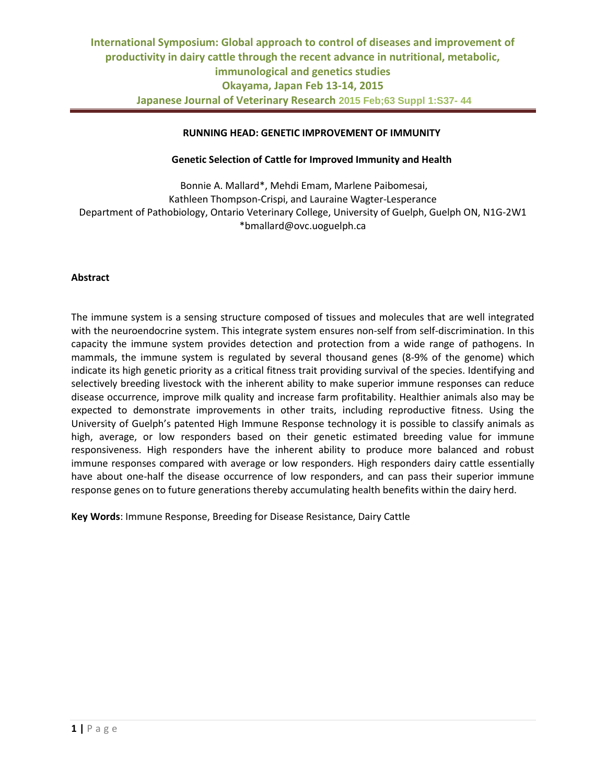# **RUNNING HEAD: GENETIC IMPROVEMENT OF IMMUNITY**

# **Genetic Selection of Cattle for Improved Immunity and Health**

Bonnie A. Mallard\*, Mehdi Emam, Marlene Paibomesai, Kathleen Thompson-Crispi, and Lauraine Wagter-Lesperance Department of Pathobiology, Ontario Veterinary College, University of Guelph, Guelph ON, N1G-2W1 \*bmallard@ovc.uoguelph.ca

#### **Abstract**

The immune system is a sensing structure composed of tissues and molecules that are well integrated with the neuroendocrine system. This integrate system ensures non-self from self-discrimination. In this capacity the immune system provides detection and protection from a wide range of pathogens. In mammals, the immune system is regulated by several thousand genes (8-9% of the genome) which indicate its high genetic priority as a critical fitness trait providing survival of the species. Identifying and selectively breeding livestock with the inherent ability to make superior immune responses can reduce disease occurrence, improve milk quality and increase farm profitability. Healthier animals also may be expected to demonstrate improvements in other traits, including reproductive fitness. Using the University of Guelph's patented High Immune Response technology it is possible to classify animals as high, average, or low responders based on their genetic estimated breeding value for immune responsiveness. High responders have the inherent ability to produce more balanced and robust immune responses compared with average or low responders. High responders dairy cattle essentially have about one-half the disease occurrence of low responders, and can pass their superior immune response genes on to future generations thereby accumulating health benefits within the dairy herd.

**Key Words**: Immune Response, Breeding for Disease Resistance, Dairy Cattle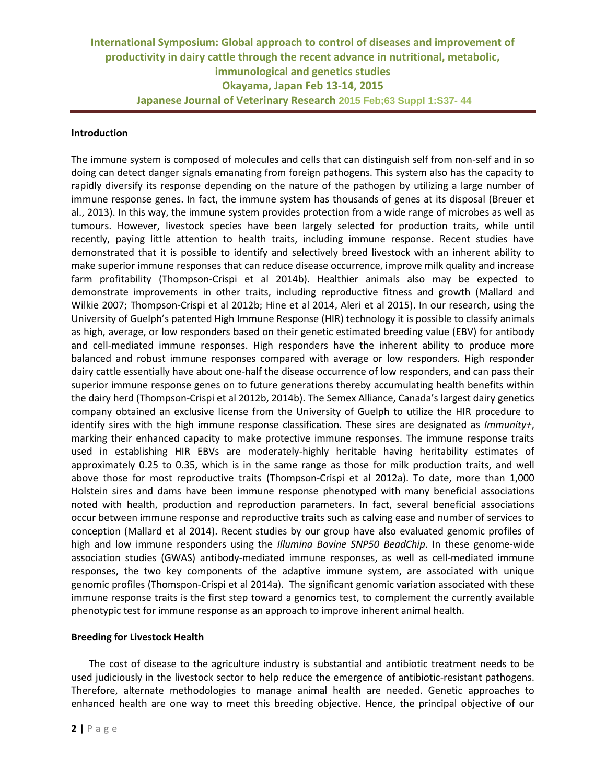### **Introduction**

The immune system is composed of molecules and cells that can distinguish self from non-self and in so doing can detect danger signals emanating from foreign pathogens. This system also has the capacity to rapidly diversify its response depending on the nature of the pathogen by utilizing a large number of immune response genes. In fact, the immune system has thousands of genes at its disposal (Breuer et al., 2013). In this way, the immune system provides protection from a wide range of microbes as well as tumours. However, livestock species have been largely selected for production traits, while until recently, paying little attention to health traits, including immune response. Recent studies have demonstrated that it is possible to identify and selectively breed livestock with an inherent ability to make superior immune responses that can reduce disease occurrence, improve milk quality and increase farm profitability (Thompson-Crispi et al 2014b). Healthier animals also may be expected to demonstrate improvements in other traits, including reproductive fitness and growth (Mallard and Wilkie 2007; Thompson-Crispi et al 2012b; Hine et al 2014, Aleri et al 2015). In our research, using the University of Guelph's patented High Immune Response (HIR) technology it is possible to classify animals as high, average, or low responders based on their genetic estimated breeding value (EBV) for antibody and cell-mediated immune responses. High responders have the inherent ability to produce more balanced and robust immune responses compared with average or low responders. High responder dairy cattle essentially have about one-half the disease occurrence of low responders, and can pass their superior immune response genes on to future generations thereby accumulating health benefits within the dairy herd (Thompson-Crispi et al 2012b, 2014b). The Semex Alliance, Canada's largest dairy genetics company obtained an exclusive license from the University of Guelph to utilize the HIR procedure to identify sires with the high immune response classification. These sires are designated as *Immunity+*, marking their enhanced capacity to make protective immune responses. The immune response traits used in establishing HIR EBVs are moderately-highly heritable having heritability estimates of approximately 0.25 to 0.35, which is in the same range as those for milk production traits, and well above those for most reproductive traits (Thompson-Crispi et al 2012a). To date, more than 1,000 Holstein sires and dams have been immune response phenotyped with many beneficial associations noted with health, production and reproduction parameters. In fact, several beneficial associations occur between immune response and reproductive traits such as calving ease and number of services to conception (Mallard et al 2014). Recent studies by our group have also evaluated genomic profiles of high and low immune responders using the *Illumina Bovine SNP50 BeadChip*. In these genome-wide association studies (GWAS) antibody-mediated immune responses, as well as cell-mediated immune responses, the two key components of the adaptive immune system, are associated with unique genomic profiles (Thomspon-Crispi et al 2014a). The significant genomic variation associated with these immune response traits is the first step toward a genomics test, to complement the currently available phenotypic test for immune response as an approach to improve inherent animal health.

### **Breeding for Livestock Health**

The cost of disease to the agriculture industry is substantial and antibiotic treatment needs to be used judiciously in the livestock sector to help reduce the emergence of antibiotic-resistant pathogens. Therefore, alternate methodologies to manage animal health are needed. Genetic approaches to enhanced health are one way to meet this breeding objective. Hence, the principal objective of our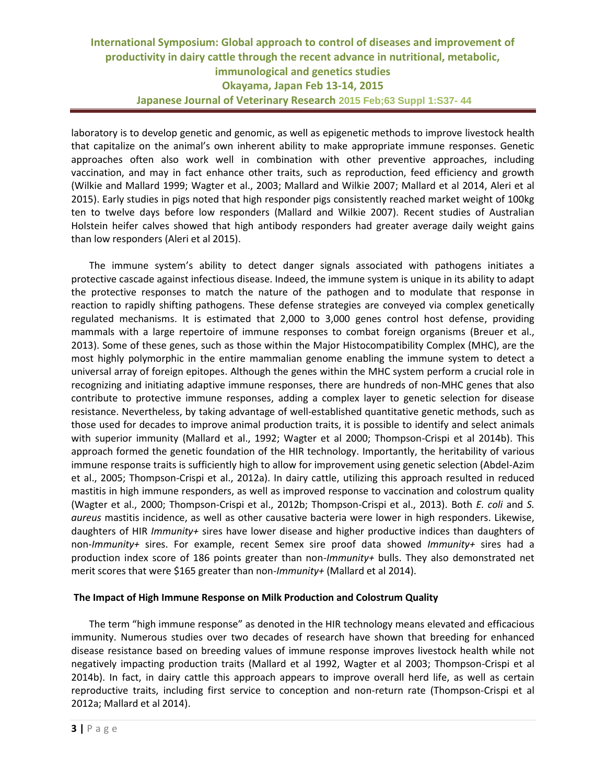laboratory is to develop genetic and genomic, as well as epigenetic methods to improve livestock health that capitalize on the animal's own inherent ability to make appropriate immune responses. Genetic approaches often also work well in combination with other preventive approaches, including vaccination, and may in fact enhance other traits, such as reproduction, feed efficiency and growth (Wilkie and Mallard 1999; Wagter et al., 2003; Mallard and Wilkie 2007; Mallard et al 2014, Aleri et al 2015). Early studies in pigs noted that high responder pigs consistently reached market weight of 100kg ten to twelve days before low responders (Mallard and Wilkie 2007). Recent studies of Australian Holstein heifer calves showed that high antibody responders had greater average daily weight gains than low responders (Aleri et al 2015).

The immune system's ability to detect danger signals associated with pathogens initiates a protective cascade against infectious disease. Indeed, the immune system is unique in its ability to adapt the protective responses to match the nature of the pathogen and to modulate that response in reaction to rapidly shifting pathogens. These defense strategies are conveyed via complex genetically regulated mechanisms. It is estimated that 2,000 to 3,000 genes control host defense, providing mammals with a large repertoire of immune responses to combat foreign organisms (Breuer et al., 2013). Some of these genes, such as those within the Major Histocompatibility Complex (MHC), are the most highly polymorphic in the entire mammalian genome enabling the immune system to detect a universal array of foreign epitopes. Although the genes within the MHC system perform a crucial role in recognizing and initiating adaptive immune responses, there are hundreds of non-MHC genes that also contribute to protective immune responses, adding a complex layer to genetic selection for disease resistance. Nevertheless, by taking advantage of well-established quantitative genetic methods, such as those used for decades to improve animal production traits, it is possible to identify and select animals with superior immunity (Mallard et al., 1992; Wagter et al 2000; Thompson-Crispi et al 2014b). This approach formed the genetic foundation of the HIR technology. Importantly, the heritability of various immune response traits is sufficiently high to allow for improvement using genetic selection (Abdel-Azim et al., 2005; Thompson-Crispi et al., 2012a). In dairy cattle, utilizing this approach resulted in reduced mastitis in high immune responders, as well as improved response to vaccination and colostrum quality (Wagter et al., 2000; Thompson-Crispi et al., 2012b; Thompson-Crispi et al., 2013). Both *E. coli* and *S. aureus* mastitis incidence, as well as other causative bacteria were lower in high responders. Likewise, daughters of HIR *Immunity+* sires have lower disease and higher productive indices than daughters of non-*Immunity+* sires. For example, recent Semex sire proof data showed *Immunity+* sires had a production index score of 186 points greater than non-*Immunity+* bulls. They also demonstrated net merit scores that were \$165 greater than non-*Immunity+* (Mallard et al 2014).

### **The Impact of High Immune Response on Milk Production and Colostrum Quality**

The term "high immune response" as denoted in the HIR technology means elevated and efficacious immunity. Numerous studies over two decades of research have shown that breeding for enhanced disease resistance based on breeding values of immune response improves livestock health while not negatively impacting production traits (Mallard et al 1992, Wagter et al 2003; Thompson-Crispi et al 2014b). In fact, in dairy cattle this approach appears to improve overall herd life, as well as certain reproductive traits, including first service to conception and non-return rate (Thompson-Crispi et al 2012a; Mallard et al 2014).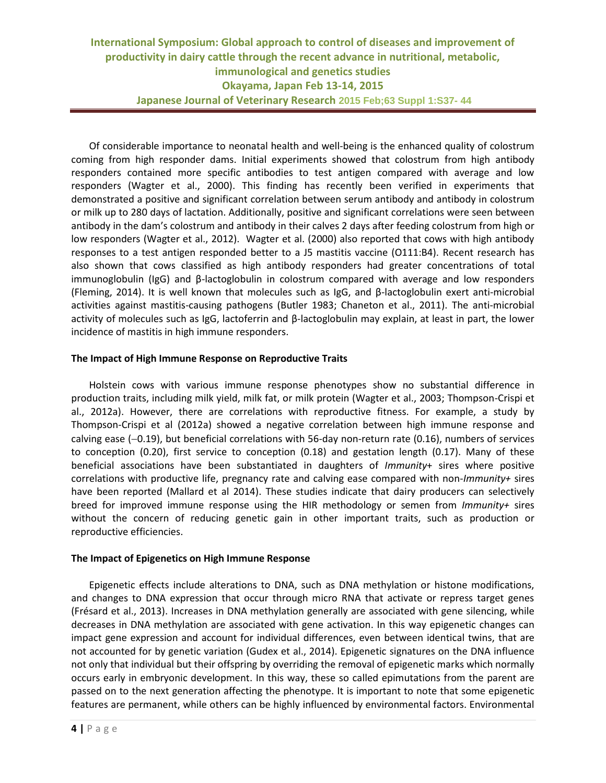Of considerable importance to neonatal health and well-being is the enhanced quality of colostrum coming from high responder dams. Initial experiments showed that colostrum from high antibody responders contained more specific antibodies to test antigen compared with average and low responders (Wagter et al., 2000). This finding has recently been verified in experiments that demonstrated a positive and significant correlation between serum antibody and antibody in colostrum or milk up to 280 days of lactation. Additionally, positive and significant correlations were seen between antibody in the dam's colostrum and antibody in their calves 2 days after feeding colostrum from high or low responders (Wagter et al., 2012). Wagter et al. (2000) also reported that cows with high antibody responses to a test antigen responded better to a J5 mastitis vaccine (O111:B4). Recent research has also shown that cows classified as high antibody responders had greater concentrations of total immunoglobulin (IgG) and β-lactoglobulin in colostrum compared with average and low responders (Fleming, 2014). It is well known that molecules such as IgG, and β-lactoglobulin exert anti-microbial activities against mastitis-causing pathogens (Butler 1983; Chaneton et al., 2011). The anti-microbial activity of molecules such as IgG, lactoferrin and β-lactoglobulin may explain, at least in part, the lower incidence of mastitis in high immune responders.

### **The Impact of High Immune Response on Reproductive Traits**

Holstein cows with various immune response phenotypes show no substantial difference in production traits, including milk yield, milk fat, or milk protein (Wagter et al., 2003; Thompson-Crispi et al., 2012a). However, there are correlations with reproductive fitness. For example, a study by Thompson-Crispi et al (2012a) showed a negative correlation between high immune response and calving ease  $(-0.19)$ , but beneficial correlations with 56-day non-return rate (0.16), numbers of services to conception (0.20), first service to conception (0.18) and gestation length (0.17). Many of these beneficial associations have been substantiated in daughters of *Immunity*+ sires where positive correlations with productive life, pregnancy rate and calving ease compared with non-*Immunity+* sires have been reported (Mallard et al 2014). These studies indicate that dairy producers can selectively breed for improved immune response using the HIR methodology or semen from *Immunity+* sires without the concern of reducing genetic gain in other important traits, such as production or reproductive efficiencies.

### **The Impact of Epigenetics on High Immune Response**

Epigenetic effects include alterations to DNA, such as DNA methylation or histone modifications, and changes to DNA expression that occur through micro RNA that activate or repress target genes (Frésard et al., 2013). Increases in DNA methylation generally are associated with gene silencing, while decreases in DNA methylation are associated with gene activation. In this way epigenetic changes can impact gene expression and account for individual differences, even between identical twins, that are not accounted for by genetic variation (Gudex et al., 2014). Epigenetic signatures on the DNA influence not only that individual but their offspring by overriding the removal of epigenetic marks which normally occurs early in embryonic development. In this way, these so called epimutations from the parent are passed on to the next generation affecting the phenotype. It is important to note that some epigenetic features are permanent, while others can be highly influenced by environmental factors. Environmental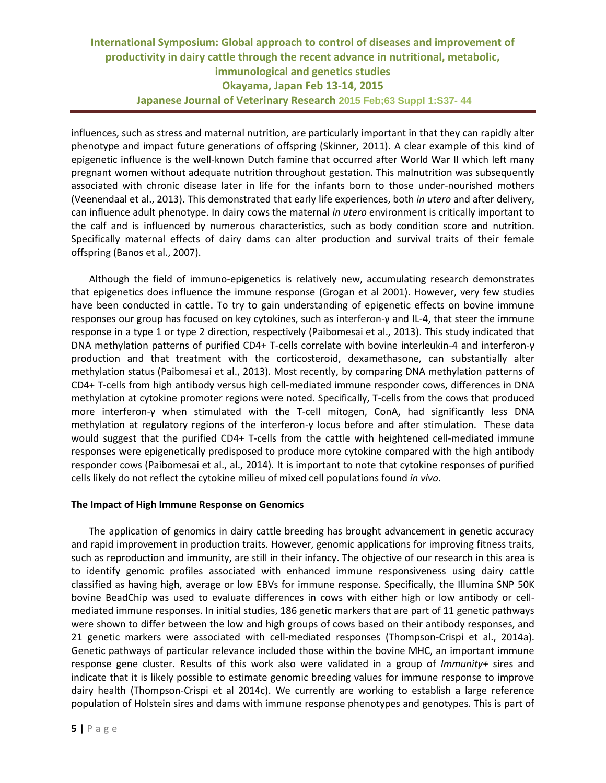influences, such as stress and maternal nutrition, are particularly important in that they can rapidly alter phenotype and impact future generations of offspring (Skinner, 2011). A clear example of this kind of epigenetic influence is the well-known Dutch famine that occurred after World War II which left many pregnant women without adequate nutrition throughout gestation. This malnutrition was subsequently associated with chronic disease later in life for the infants born to those under-nourished mothers (Veenendaal et al., 2013). This demonstrated that early life experiences, both *in utero* and after delivery, can influence adult phenotype. In dairy cows the maternal *in utero* environment is critically important to the calf and is influenced by numerous characteristics, such as body condition score and nutrition. Specifically maternal effects of dairy dams can alter production and survival traits of their female offspring (Banos et al., 2007).

Although the field of immuno-epigenetics is relatively new, accumulating research demonstrates that epigenetics does influence the immune response (Grogan et al 2001). However, very few studies have been conducted in cattle. To try to gain understanding of epigenetic effects on bovine immune responses our group has focused on key cytokines, such as interferon-γ and IL-4, that steer the immune response in a type 1 or type 2 direction, respectively (Paibomesai et al., 2013). This study indicated that DNA methylation patterns of purified CD4+ T-cells correlate with bovine interleukin-4 and interferon-γ production and that treatment with the corticosteroid, dexamethasone, can substantially alter methylation status (Paibomesai et al., 2013). Most recently, by comparing DNA methylation patterns of CD4+ T-cells from high antibody versus high cell-mediated immune responder cows, differences in DNA methylation at cytokine promoter regions were noted. Specifically, T-cells from the cows that produced more interferon-γ when stimulated with the T-cell mitogen, ConA, had significantly less DNA methylation at regulatory regions of the interferon-γ locus before and after stimulation. These data would suggest that the purified CD4+ T-cells from the cattle with heightened cell-mediated immune responses were epigenetically predisposed to produce more cytokine compared with the high antibody responder cows (Paibomesai et al., al., 2014). It is important to note that cytokine responses of purified cells likely do not reflect the cytokine milieu of mixed cell populations found *in vivo*.

### **The Impact of High Immune Response on Genomics**

The application of genomics in dairy cattle breeding has brought advancement in genetic accuracy and rapid improvement in production traits. However, genomic applications for improving fitness traits, such as reproduction and immunity, are still in their infancy. The objective of our research in this area is to identify genomic profiles associated with enhanced immune responsiveness using dairy cattle classified as having high, average or low EBVs for immune response. Specifically, the Illumina SNP 50K bovine BeadChip was used to evaluate differences in cows with either high or low antibody or cellmediated immune responses. In initial studies, 186 genetic markers that are part of 11 genetic pathways were shown to differ between the low and high groups of cows based on their antibody responses, and 21 genetic markers were associated with cell-mediated responses (Thompson-Crispi et al., 2014a). Genetic pathways of particular relevance included those within the bovine MHC, an important immune response gene cluster. Results of this work also were validated in a group of *Immunity+* sires and indicate that it is likely possible to estimate genomic breeding values for immune response to improve dairy health (Thompson-Crispi et al 2014c). We currently are working to establish a large reference population of Holstein sires and dams with immune response phenotypes and genotypes. This is part of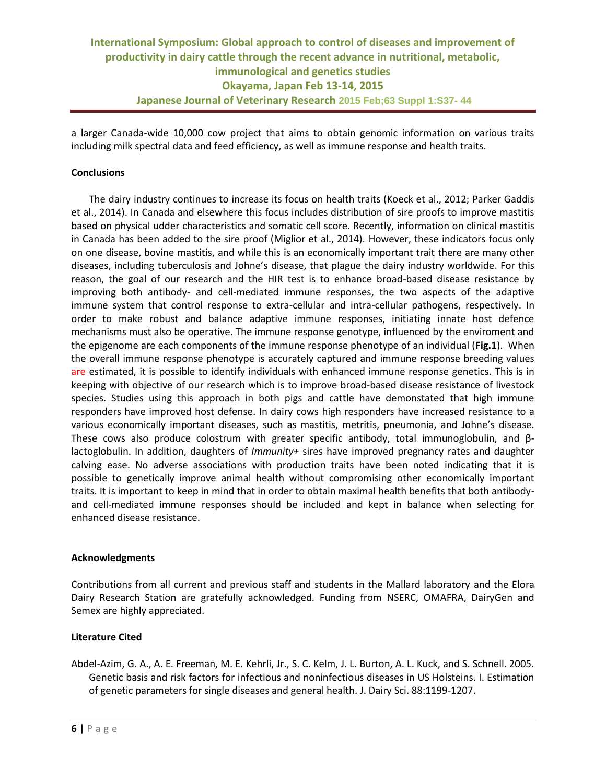a larger Canada-wide 10,000 cow project that aims to obtain genomic information on various traits including milk spectral data and feed efficiency, as well as immune response and health traits.

# **Conclusions**

The dairy industry continues to increase its focus on health traits (Koeck et al., 2012; Parker Gaddis et al., 2014). In Canada and elsewhere this focus includes distribution of sire proofs to improve mastitis based on physical udder characteristics and somatic cell score. Recently, information on clinical mastitis in Canada has been added to the sire proof (Miglior et al., 2014). However, these indicators focus only on one disease, bovine mastitis, and while this is an economically important trait there are many other diseases, including tuberculosis and Johne's disease, that plague the dairy industry worldwide. For this reason, the goal of our research and the HIR test is to enhance broad-based disease resistance by improving both antibody- and cell-mediated immune responses, the two aspects of the adaptive immune system that control response to extra-cellular and intra-cellular pathogens, respectively. In order to make robust and balance adaptive immune responses, initiating innate host defence mechanisms must also be operative. The immune response genotype, influenced by the enviroment and the epigenome are each components of the immune response phenotype of an individual (**Fig.1**). When the overall immune response phenotype is accurately captured and immune response breeding values are estimated, it is possible to identify individuals with enhanced immune response genetics. This is in keeping with objective of our research which is to improve broad-based disease resistance of livestock species. Studies using this approach in both pigs and cattle have demonstated that high immune responders have improved host defense. In dairy cows high responders have increased resistance to a various economically important diseases, such as mastitis, metritis, pneumonia, and Johne's disease. These cows also produce colostrum with greater specific antibody, total immunoglobulin, and βlactoglobulin. In addition, daughters of *Immunity+* sires have improved pregnancy rates and daughter calving ease. No adverse associations with production traits have been noted indicating that it is possible to genetically improve animal health without compromising other economically important traits. It is important to keep in mind that in order to obtain maximal health benefits that both antibodyand cell-mediated immune responses should be included and kept in balance when selecting for enhanced disease resistance.

### **Acknowledgments**

Contributions from all current and previous staff and students in the Mallard laboratory and the Elora Dairy Research Station are gratefully acknowledged. Funding from NSERC, OMAFRA, DairyGen and Semex are highly appreciated.

### **Literature Cited**

Abdel-Azim, G. A., A. E. Freeman, M. E. Kehrli, Jr., S. C. Kelm, J. L. Burton, A. L. Kuck, and S. Schnell. 2005. Genetic basis and risk factors for infectious and noninfectious diseases in US Holsteins. I. Estimation of genetic parameters for single diseases and general health. J. Dairy Sci. 88:1199-1207.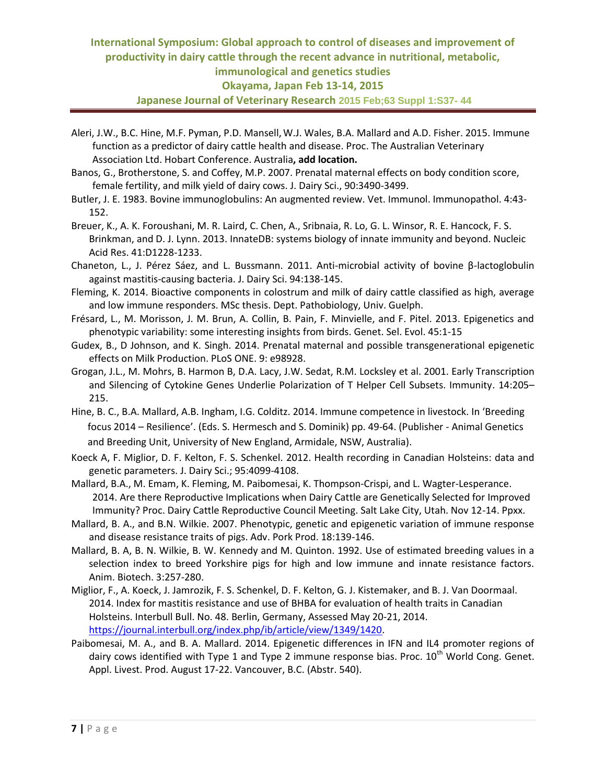# **International Symposium: Global approach to control of diseases and improvement of productivity in dairy cattle through the recent advance in nutritional, metabolic, immunological and genetics studies Okayama, Japan Feb 13-14, 2015 Japanese Journal of Veterinary Research 2015 Feb;63 Suppl 1:S37- 44**

- Aleri, J.W., B.C. Hine, M.F. Pyman, P.D. Mansell,W.J. Wales, B.A. Mallard and A.D. Fisher. 2015. Immune function as a predictor of dairy cattle health and disease. Proc. The Australian Veterinary Association Ltd. Hobart Conference. Australia**, add location.**
- Banos, G., Brotherstone, S. and Coffey, M.P. 2007. Prenatal maternal effects on body condition score, female fertility, and milk yield of dairy cows. J. Dairy Sci., 90:3490-3499.
- Butler, J. E. 1983. Bovine immunoglobulins: An augmented review. Vet. Immunol. Immunopathol. 4:43- 152.
- [Breuer, K.](http://www.ncbi.nlm.nih.gov/pubmed?term=Breuer%20K%5BAuthor%5D&cauthor=true&cauthor_uid=23180781), A. K. [Foroushani, M](http://www.ncbi.nlm.nih.gov/pubmed?term=Foroushani%20AK%5BAuthor%5D&cauthor=true&cauthor_uid=23180781). R. [Laird,](http://www.ncbi.nlm.nih.gov/pubmed?term=Laird%20MR%5BAuthor%5D&cauthor=true&cauthor_uid=23180781) C. [Chen, A.,](http://www.ncbi.nlm.nih.gov/pubmed?term=Chen%20C%5BAuthor%5D&cauthor=true&cauthor_uid=23180781) [Sribnaia, R](http://www.ncbi.nlm.nih.gov/pubmed?term=Sribnaia%20A%5BAuthor%5D&cauthor=true&cauthor_uid=23180781)[. Lo, G](http://www.ncbi.nlm.nih.gov/pubmed?term=Lo%20R%5BAuthor%5D&cauthor=true&cauthor_uid=23180781). L. [Winsor,](http://www.ncbi.nlm.nih.gov/pubmed?term=Winsor%20GL%5BAuthor%5D&cauthor=true&cauthor_uid=23180781) R. E[. Hancock, F](http://www.ncbi.nlm.nih.gov/pubmed?term=Hancock%20RE%5BAuthor%5D&cauthor=true&cauthor_uid=23180781). S. [Brinkman,](http://www.ncbi.nlm.nih.gov/pubmed?term=Brinkman%20FS%5BAuthor%5D&cauthor=true&cauthor_uid=23180781) and D. J. [Lynn.](http://www.ncbi.nlm.nih.gov/pubmed?term=Lynn%20DJ%5BAuthor%5D&cauthor=true&cauthor_uid=23180781) 2013. InnateDB: systems biology of innate immunity and beyond. Nucleic Acid Res. 41:D1228-1233.
- Chaneton, L., J. Pérez Sáez, and L. Bussmann. 2011. Anti-microbial activity of bovine β-lactoglobulin against mastitis-causing bacteria. J. Dairy Sci. 94:138-145.
- Fleming, K. 2014. Bioactive components in colostrum and milk of dairy cattle classified as high, average and low immune responders. MSc thesis. Dept. Pathobiology, Univ. Guelph.
- Frésard, L., M. Morisson, J. M. Brun, A. Collin, B. Pain, F. Minvielle, and F. Pitel. 2013. Epigenetics and phenotypic variability: some interesting insights from birds. Genet. Sel. Evol. 45:1-15
- Gudex, B., D Johnson, and K. Singh. 2014. Prenatal maternal and possible transgenerational epigenetic effects on Milk Production. PLoS ONE. 9: e98928.
- Grogan, J.L., M. Mohrs, B. Harmon B, D.A. Lacy, J.W. Sedat, R.M. Locksley et al. 2001. Early Transcription and Silencing of Cytokine Genes Underlie Polarization of T Helper Cell Subsets. Immunity. 14:205– 215.
- Hine, B. C., B.A. Mallard, A.B. Ingham, I.G. Colditz. 2014. Immune competence in livestock. In 'Breeding focus 2014 – Resilience'. (Eds. S. Hermesch and S. Dominik) pp. 49-64. (Publisher - Animal Genetics and Breeding Unit, University of New England, Armidale, NSW, Australia).
- Koeck A, F. Miglior, D. F. Kelton, F. S. Schenkel. 2012. Health recording in Canadian Holsteins: data and genetic parameters. J. Dairy Sci.; 95:4099-4108.
- Mallard, B.A., M. Emam, K. Fleming, M. Paibomesai, K. Thompson-Crispi, and L. Wagter-Lesperance. 2014. Are there Reproductive Implications when Dairy Cattle are Genetically Selected for Improved Immunity? Proc. Dairy Cattle Reproductive Council Meeting. Salt Lake City, Utah. Nov 12-14. Ppxx.
- Mallard, B. A., and B.N. Wilkie. 2007. Phenotypic, genetic and epigenetic variation of immune response and disease resistance traits of pigs. Adv. Pork Prod. 18:139-146.
- Mallard, B. A, B. N. Wilkie, B. W. Kennedy and M. Quinton. 1992. Use of estimated breeding values in a selection index to breed Yorkshire pigs for high and low immune and innate resistance factors. Anim. Biotech. 3:257-280.
- Miglior, F., A. Koeck, J. Jamrozik, F. S. Schenkel, D. F. Kelton, G. J. Kistemaker, and B. J. Van Doormaal. 2014. Index for mastitis resistance and use of BHBA for evaluation of health traits in Canadian Holsteins. Interbull Bull. No. 48. Berlin, Germany, Assessed May 20-21, 2014. [https://journal.interbull.org/index.php/ib/article/view/1349/1420.](https://journal.interbull.org/index.php/ib/article/view/1349/1420)
- Paibomesai, M. A., and B. A. Mallard. 2014. Epigenetic differences in IFN and IL4 promoter regions of dairy cows identified with Type 1 and Type 2 immune response bias. Proc.  $10^{th}$  World Cong. Genet. Appl. Livest. Prod. August 17-22. Vancouver, B.C. (Abstr. 540).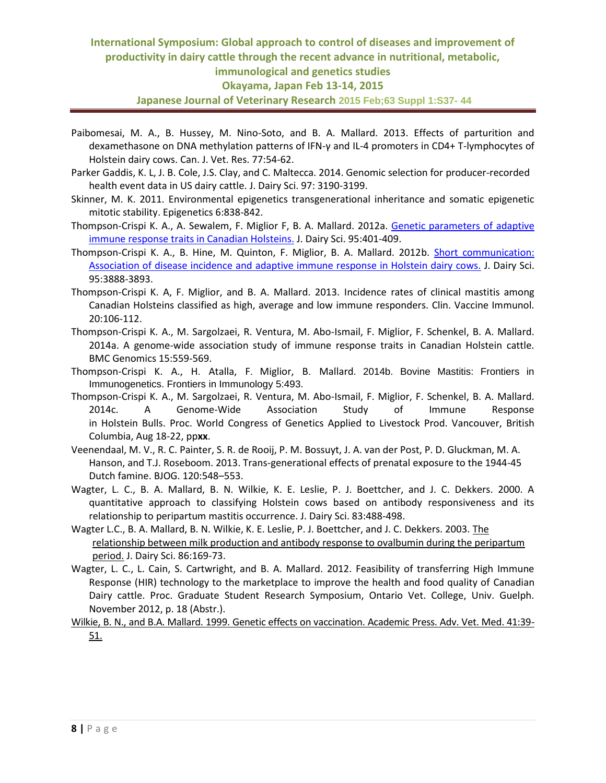# **International Symposium: Global approach to control of diseases and improvement of productivity in dairy cattle through the recent advance in nutritional, metabolic, immunological and genetics studies Okayama, Japan Feb 13-14, 2015 Japanese Journal of Veterinary Research 2015 Feb;63 Suppl 1:S37- 44**

- Paibomesai, M. A., B. Hussey, M. Nino-Soto, and B. A. Mallard. 2013. Effects of parturition and dexamethasone on DNA methylation patterns of IFN-γ and IL-4 promoters in CD4+ T-lymphocytes of Holstein dairy cows. Can. J. Vet. Res. 77:54-62.
- Parker Gaddis, K. L, J. B. Cole, J.S. Clay, and C. Maltecca. 2014. Genomic selection for producer-recorded health event data in US dairy cattle. J. Dairy Sci. 97: 3190-3199.
- Skinner, M. K. 2011. Environmental epigenetics transgenerational inheritance and somatic epigenetic mitotic stability. Epigenetics 6:838-842.
- Thompson-Crispi K. A., A. Sewalem, F. Miglior F, B. A. Mallard. 2012a. Genetic parameters of adaptive [immune response traits in Canadian Holsteins.](http://www.ncbi.nlm.nih.gov/pubmed/22192219) J. Dairy Sci. 95:401-409.
- Thompson-Crispi K. A., B. Hine, M. Quinton, F. Miglior, B. A. Mallard. 2012b. [Short communication:](http://www.ncbi.nlm.nih.gov/pubmed/22720943)  [Association of disease incidence and adaptive immune response in Holstein dairy cows.](http://www.ncbi.nlm.nih.gov/pubmed/22720943) J. Dairy Sci. 95:3888-3893.
- Thompson-Crispi K. A, F. Miglior, and B. A. Mallard. 2013. Incidence rates of clinical mastitis among Canadian Holsteins classified as high, average and low immune responders. Clin. Vaccine Immunol. 20:106-112.
- Thompson-Crispi K. A., M. Sargolzaei, R. Ventura, M. Abo-Ismail, F. Miglior, F. Schenkel, B. A. Mallard. 2014a. A genome-wide association study of immune response traits in Canadian Holstein cattle. BMC Genomics 15:559-569.
- Thompson-Crispi K. A., H. Atalla, F. Miglior, B. Mallard. 2014b. Bovine Mastitis: Frontiers in Immunogenetics. Frontiers in Immunology 5:493.
- Thompson-Crispi K. A., M. Sargolzaei, R. Ventura, M. Abo-Ismail, F. Miglior, F. Schenkel, B. A. Mallard. 2014c. A Genome-Wide Association Study of Immune Response in Holstein Bulls. Proc. World Congress of Genetics Applied to Livestock Prod. Vancouver, British Columbia, Aug 18-22, pp**xx**.
- Veenendaal, M. V., R. C. Painter, S. R. de Rooij, P. M. Bossuyt, J. A. van der Post, P. D. Gluckman, M. A. Hanson, and T.J. Roseboom. 2013. Trans-generational effects of prenatal exposure to the 1944-45 Dutch famine. BJOG. 120:548–553.
- Wagter, L. C., B. A. Mallard, B. N. Wilkie, K. E. Leslie, P. J. Boettcher, and J. C. Dekkers. 2000. A quantitative approach to classifying Holstein cows based on antibody responsiveness and its relationship to peripartum mastitis occurrence. J. Dairy Sci. 83:488-498.
- Wagter L.C., B. A. Mallard, B. N. Wilkie, K. E. Leslie, P. J. Boettcher, and J. C. Dekkers. 2003[. The](http://www.ncbi.nlm.nih.gov/pubmed/12613862)  [relationship between milk production and antibody response to ovalbumin during the peripartum](http://www.ncbi.nlm.nih.gov/pubmed/12613862)  [period.](http://www.ncbi.nlm.nih.gov/pubmed/12613862) J. Dairy Sci. 86:169-73.
- Wagter, L. C., L. Cain, S. Cartwright, and B. A. Mallard. 2012. Feasibility of transferring High Immune Response (HIR) technology to the marketplace to improve the health and food quality of Canadian Dairy cattle. Proc. Graduate Student Research Symposium, Ontario Vet. College, Univ. Guelph. November 2012, p. 18 (Abstr.).
- Wilkie, B. N., and B.A. Mallard. 1999. Genetic effects on vaccination. Academic Press. Adv. Vet. Med. 41:39- 51.